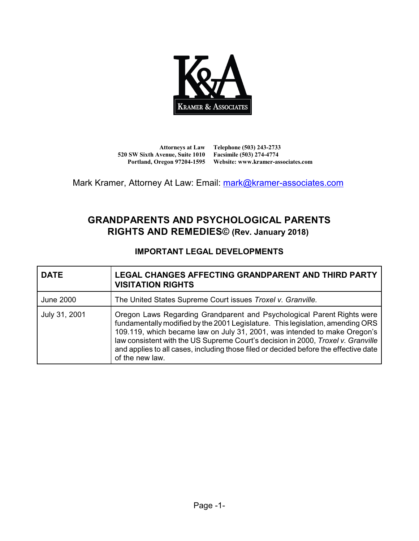

**Attorneys at Law 520 SW Sixth Avenue, Suite 1010 Facsimile (503) 274-4774**

**Portland, Oregon 97204-1595 Website: www.kramer-associates.com Telephone (503) 243-2733**

Mark Kramer, Attorney At Law: Email: [mark@kramer-associates.com](mailto:mark@kramer-associates.com)

# **GRANDPARENTS AND PSYCHOLOGICAL PARENTS RIGHTS AND REMEDIES© (Rev. January 2018)**

# **IMPORTANT LEGAL DEVELOPMENTS**

| <b>DATE</b>      | <b>LEGAL CHANGES AFFECTING GRANDPARENT AND THIRD PARTY</b><br><b>VISITATION RIGHTS</b>                                                                                                                                                                                                                                                                                                                                               |
|------------------|--------------------------------------------------------------------------------------------------------------------------------------------------------------------------------------------------------------------------------------------------------------------------------------------------------------------------------------------------------------------------------------------------------------------------------------|
| <b>June 2000</b> | The United States Supreme Court issues Troxel v. Granville.                                                                                                                                                                                                                                                                                                                                                                          |
| July 31, 2001    | Oregon Laws Regarding Grandparent and Psychological Parent Rights were<br>fundamentally modified by the 2001 Legislature. This legislation, amending ORS<br>109.119, which became law on July 31, 2001, was intended to make Oregon's<br>law consistent with the US Supreme Court's decision in 2000, Troxel v. Granville<br>and applies to all cases, including those filed or decided before the effective date<br>of the new law. |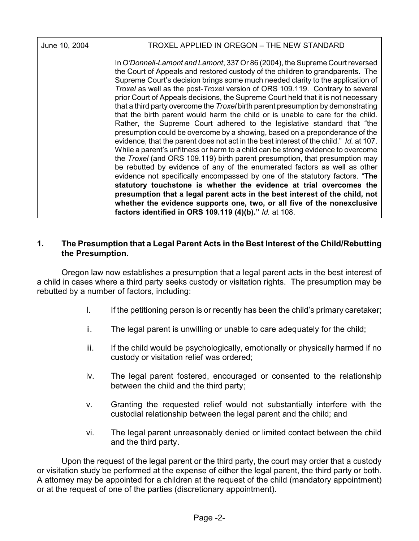| June 10, 2004 | TROXEL APPLIED IN OREGON - THE NEW STANDARD                                                                                                                                                                                                                                                                                                                                                                                                                                                                                                                                                                                                                                                                                                                                                                                                                                                                                                                                                                                                                                                                                                                                                                                                                                                                                                                                                                                                                                       |
|---------------|-----------------------------------------------------------------------------------------------------------------------------------------------------------------------------------------------------------------------------------------------------------------------------------------------------------------------------------------------------------------------------------------------------------------------------------------------------------------------------------------------------------------------------------------------------------------------------------------------------------------------------------------------------------------------------------------------------------------------------------------------------------------------------------------------------------------------------------------------------------------------------------------------------------------------------------------------------------------------------------------------------------------------------------------------------------------------------------------------------------------------------------------------------------------------------------------------------------------------------------------------------------------------------------------------------------------------------------------------------------------------------------------------------------------------------------------------------------------------------------|
|               | In O'Donnell-Lamont and Lamont, 337 Or 86 (2004), the Supreme Court reversed<br>the Court of Appeals and restored custody of the children to grandparents. The<br>Supreme Court's decision brings some much needed clarity to the application of<br>Troxel as well as the post-Troxel version of ORS 109.119. Contrary to several<br>prior Court of Appeals decisions, the Supreme Court held that it is not necessary<br>that a third party overcome the Troxel birth parent presumption by demonstrating<br>that the birth parent would harm the child or is unable to care for the child.<br>Rather, the Supreme Court adhered to the legislative standard that "the<br>presumption could be overcome by a showing, based on a preponderance of the<br>evidence, that the parent does not act in the best interest of the child." Id. at 107.<br>While a parent's unfitness or harm to a child can be strong evidence to overcome<br>the <i>Troxel</i> (and ORS 109.119) birth parent presumption, that presumption may<br>be rebutted by evidence of any of the enumerated factors as well as other<br>evidence not specifically encompassed by one of the statutory factors. "The<br>statutory touchstone is whether the evidence at trial overcomes the<br>presumption that a legal parent acts in the best interest of the child, not<br>whether the evidence supports one, two, or all five of the nonexclusive<br>factors identified in ORS 109.119 (4)(b)." Id. at 108. |
|               |                                                                                                                                                                                                                                                                                                                                                                                                                                                                                                                                                                                                                                                                                                                                                                                                                                                                                                                                                                                                                                                                                                                                                                                                                                                                                                                                                                                                                                                                                   |

### **1. The Presumption that a Legal Parent Acts in the Best Interest of the Child/Rebutting the Presumption.**

Oregon law now establishes a presumption that a legal parent acts in the best interest of a child in cases where a third party seeks custody or visitation rights. The presumption may be rebutted by a number of factors, including:

- I. If the petitioning person is or recently has been the child's primary caretaker;
- ii. The legal parent is unwilling or unable to care adequately for the child;
- iii. If the child would be psychologically, emotionally or physically harmed if no custody or visitation relief was ordered;
- iv. The legal parent fostered, encouraged or consented to the relationship between the child and the third party;
- v. Granting the requested relief would not substantially interfere with the custodial relationship between the legal parent and the child; and
- vi. The legal parent unreasonably denied or limited contact between the child and the third party.

Upon the request of the legal parent or the third party, the court may order that a custody or visitation study be performed at the expense of either the legal parent, the third party or both. A attorney may be appointed for a children at the request of the child (mandatory appointment) or at the request of one of the parties (discretionary appointment).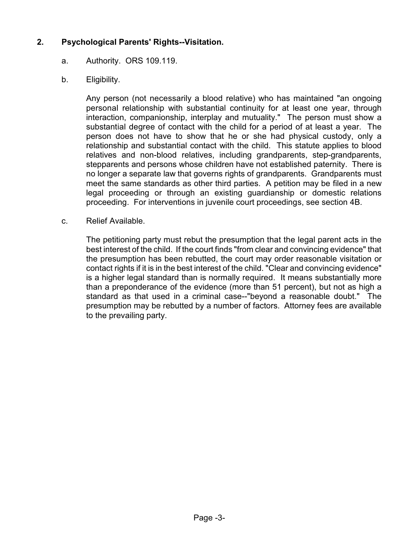## **2. Psychological Parents' Rights--Visitation.**

### a. Authority. ORS 109.119.

b. Eligibility.

Any person (not necessarily a blood relative) who has maintained "an ongoing personal relationship with substantial continuity for at least one year, through interaction, companionship, interplay and mutuality." The person must show a substantial degree of contact with the child for a period of at least a year. The person does not have to show that he or she had physical custody, only a relationship and substantial contact with the child. This statute applies to blood relatives and non-blood relatives, including grandparents, step-grandparents, stepparents and persons whose children have not established paternity. There is no longer a separate law that governs rights of grandparents. Grandparents must meet the same standards as other third parties. A petition may be filed in a new legal proceeding or through an existing guardianship or domestic relations proceeding. For interventions in juvenile court proceedings, see section 4B.

c. Relief Available.

The petitioning party must rebut the presumption that the legal parent acts in the best interest of the child. If the court finds "from clear and convincing evidence" that the presumption has been rebutted, the court may order reasonable visitation or contact rights if it is in the best interest of the child. "Clear and convincing evidence" is a higher legal standard than is normally required. It means substantially more than a preponderance of the evidence (more than 51 percent), but not as high a standard as that used in a criminal case--"beyond a reasonable doubt." The presumption may be rebutted by a number of factors. Attorney fees are available to the prevailing party.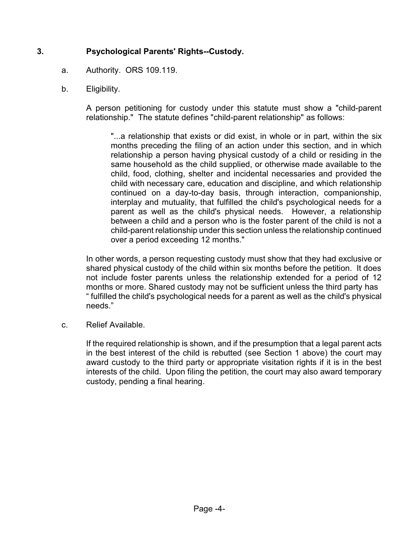# **3. Psychological Parents' Rights--Custody.**

- a. Authority. ORS 109.119.
- b. Eligibility.

A person petitioning for custody under this statute must show a "child-parent relationship." The statute defines "child-parent relationship" as follows:

"...a relationship that exists or did exist, in whole or in part, within the six months preceding the filing of an action under this section, and in which relationship a person having physical custody of a child or residing in the same household as the child supplied, or otherwise made available to the child, food, clothing, shelter and incidental necessaries and provided the child with necessary care, education and discipline, and which relationship continued on a day-to-day basis, through interaction, companionship, interplay and mutuality, that fulfilled the child's psychological needs for a parent as well as the child's physical needs. However, a relationship between a child and a person who is the foster parent of the child is not a child-parent relationship under this section unless the relationship continued over a period exceeding 12 months."

In other words, a person requesting custody must show that they had exclusive or shared physical custody of the child within six months before the petition. It does not include foster parents unless the relationship extended for a period of 12 months or more. Shared custody may not be sufficient unless the third party has " fulfilled the child's psychological needs for a parent as well as the child's physical needs."

c. Relief Available.

If the required relationship is shown, and if the presumption that a legal parent acts in the best interest of the child is rebutted (see Section 1 above) the court may award custody to the third party or appropriate visitation rights if it is in the best interests of the child. Upon filing the petition, the court may also award temporary custody, pending a final hearing.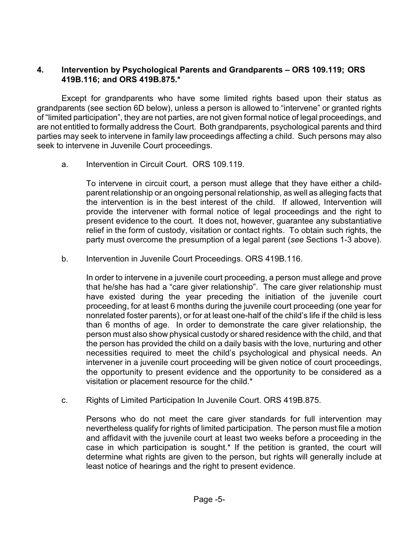## **4. Intervention by Psychological Parents and Grandparents – ORS 109.119; ORS 419B.116; and ORS 419B.875.\***

Except for grandparents who have some limited rights based upon their status as grandparents (see section 6D below), unless a person is allowed to "intervene" or granted rights of "limited participation", they are not parties, are not given formal notice of legal proceedings, and are not entitled to formally address the Court. Both grandparents, psychological parents and third parties may seek to intervene in family law proceedings affecting a child. Such persons may also seek to intervene in Juvenile Court proceedings.

a. Intervention in Circuit Court. ORS 109.119.

To intervene in circuit court, a person must allege that they have either a childparent relationship or an ongoing personal relationship, as well as alleging facts that the intervention is in the best interest of the child. If allowed, Intervention will provide the intervener with formal notice of legal proceedings and the right to present evidence to the court. It does not, however, guarantee any substantiative relief in the form of custody, visitation or contact rights. To obtain such rights, the party must overcome the presumption of a legal parent (*see* Sections 1-3 above).

b. Intervention in Juvenile Court Proceedings. ORS 419B.116.

In order to intervene in a juvenile court proceeding, a person must allege and prove that he/she has had a "care giver relationship". The care giver relationship must have existed during the year preceding the initiation of the juvenile court proceeding, for at least 6 months during the juvenile court proceeding (one year for nonrelated foster parents), or for at least one-half of the child's life if the child is less than 6 months of age. In order to demonstrate the care giver relationship, the person must also show physical custody or shared residence with the child, and that the person has provided the child on a daily basis with the love, nurturing and other necessities required to meet the child's psychological and physical needs. An intervener in a juvenile court proceeding will be given notice of court proceedings, the opportunity to present evidence and the opportunity to be considered as a visitation or placement resource for the child.\*

c. Rights of Limited Participation In Juvenile Court. ORS 419B.875.

Persons who do not meet the care giver standards for full intervention may nevertheless qualify for rights of limited participation. The person must file a motion and affidavit with the juvenile court at least two weeks before a proceeding in the case in which participation is sought.\* If the petition is granted, the court will determine what rights are given to the person, but rights will generally include at least notice of hearings and the right to present evidence.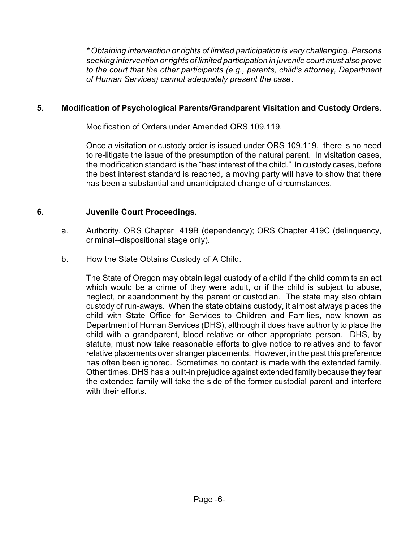*\* Obtaining intervention or rights of limited participation is very challenging. Persons seeking intervention or rights of limited participation in juvenile court must also prove to the court that the other participants (e.g., parents, child's attorney, Department of Human Services) cannot adequately present the case*.

## **5. Modification of Psychological Parents/Grandparent Visitation and Custody Orders.**

Modification of Orders under Amended ORS 109.119.

Once a visitation or custody order is issued under ORS 109.119, there is no need to re-litigate the issue of the presumption of the natural parent. In visitation cases, the modification standard is the "best interest of the child." In custody cases, before the best interest standard is reached, a moving party will have to show that there has been a substantial and unanticipated change of circumstances.

# **6. Juvenile Court Proceedings.**

- a. Authority. ORS Chapter 419B (dependency); ORS Chapter 419C (delinquency, criminal--dispositional stage only).
- b. How the State Obtains Custody of A Child.

The State of Oregon may obtain legal custody of a child if the child commits an act which would be a crime of they were adult, or if the child is subject to abuse, neglect, or abandonment by the parent or custodian. The state may also obtain custody of run-aways. When the state obtains custody, it almost always places the child with State Office for Services to Children and Families, now known as Department of Human Services (DHS), although it does have authority to place the child with a grandparent, blood relative or other appropriate person. DHS, by statute, must now take reasonable efforts to give notice to relatives and to favor relative placements over stranger placements. However, in the past this preference has often been ignored. Sometimes no contact is made with the extended family. Other times, DHS has a built-in prejudice against extended family because they fear the extended family will take the side of the former custodial parent and interfere with their efforts.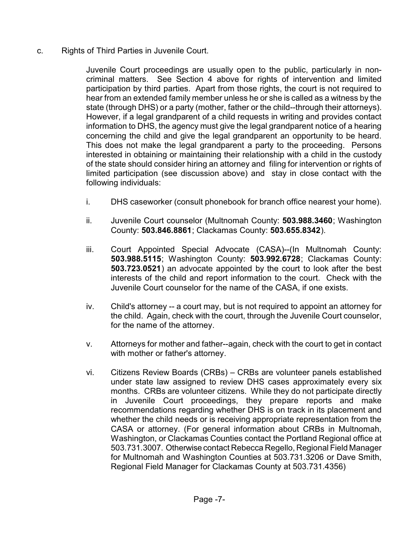c. Rights of Third Parties in Juvenile Court.

Juvenile Court proceedings are usually open to the public, particularly in noncriminal matters. See Section 4 above for rights of intervention and limited participation by third parties. Apart from those rights, the court is not required to hear from an extended family member unless he or she is called as a witness by the state (through DHS) or a party (mother, father or the child--through their attorneys). However, if a legal grandparent of a child requests in writing and provides contact information to DHS, the agency must give the legal grandparent notice of a hearing concerning the child and give the legal grandparent an opportunity to be heard. This does not make the legal grandparent a party to the proceeding. Persons interested in obtaining or maintaining their relationship with a child in the custody of the state should consider hiring an attorney and filing for intervention or rights of limited participation (see discussion above) and stay in close contact with the following individuals:

- i. DHS caseworker (consult phonebook for branch office nearest your home).
- ii. Juvenile Court counselor (Multnomah County: **503.988.3460**; Washington County: **503.846.8861**; Clackamas County: **503.655.8342**).
- iii. Court Appointed Special Advocate (CASA)--(In Multnomah County: **503.988.5115**; Washington County: **503.992.6728**; Clackamas County: **503.723.0521**) an advocate appointed by the court to look after the best interests of the child and report information to the court. Check with the Juvenile Court counselor for the name of the CASA, if one exists.
- iv. Child's attorney -- a court may, but is not required to appoint an attorney for the child. Again, check with the court, through the Juvenile Court counselor, for the name of the attorney.
- v. Attorneys for mother and father--again, check with the court to get in contact with mother or father's attorney.
- vi. Citizens Review Boards (CRBs) CRBs are volunteer panels established under state law assigned to review DHS cases approximately every six months. CRBs are volunteer citizens. While they do not participate directly in Juvenile Court proceedings, they prepare reports and make recommendations regarding whether DHS is on track in its placement and whether the child needs or is receiving appropriate representation from the CASA or attorney. (For general information about CRBs in Multnomah, Washington, or Clackamas Counties contact the Portland Regional office at 503.731.3007. Otherwise contact Rebecca Regello, Regional Field Manager for Multnomah and Washington Counties at 503.731.3206 or Dave Smith, Regional Field Manager for Clackamas County at 503.731.4356)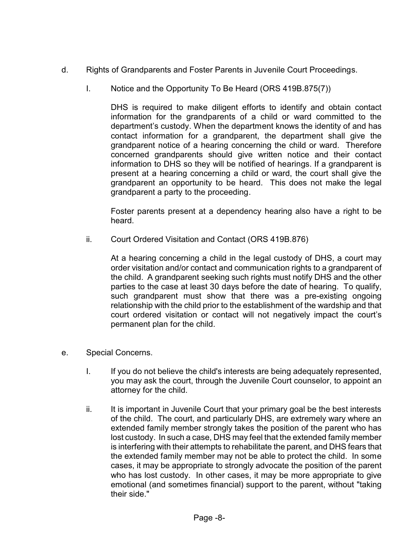- d. Rights of Grandparents and Foster Parents in Juvenile Court Proceedings.
	- I. Notice and the Opportunity To Be Heard (ORS 419B.875(7))

DHS is required to make diligent efforts to identify and obtain contact information for the grandparents of a child or ward committed to the department's custody. When the department knows the identity of and has contact information for a grandparent, the department shall give the grandparent notice of a hearing concerning the child or ward. Therefore concerned grandparents should give written notice and their contact information to DHS so they will be notified of hearings. If a grandparent is present at a hearing concerning a child or ward, the court shall give the grandparent an opportunity to be heard. This does not make the legal grandparent a party to the proceeding.

Foster parents present at a dependency hearing also have a right to be heard.

ii. Court Ordered Visitation and Contact (ORS 419B.876)

At a hearing concerning a child in the legal custody of DHS, a court may order visitation and/or contact and communication rights to a grandparent of the child. A grandparent seeking such rights must notify DHS and the other parties to the case at least 30 days before the date of hearing. To qualify, such grandparent must show that there was a pre-existing ongoing relationship with the child prior to the establishment of the wardship and that court ordered visitation or contact will not negatively impact the court's permanent plan for the child.

- e. Special Concerns.
	- I. If you do not believe the child's interests are being adequately represented, you may ask the court, through the Juvenile Court counselor, to appoint an attorney for the child.
	- ii. It is important in Juvenile Court that your primary goal be the best interests of the child. The court, and particularly DHS, are extremely wary where an extended family member strongly takes the position of the parent who has lost custody. In such a case, DHS may feel that the extended family member is interfering with their attempts to rehabilitate the parent, and DHS fears that the extended family member may not be able to protect the child. In some cases, it may be appropriate to strongly advocate the position of the parent who has lost custody. In other cases, it may be more appropriate to give emotional (and sometimes financial) support to the parent, without "taking their side."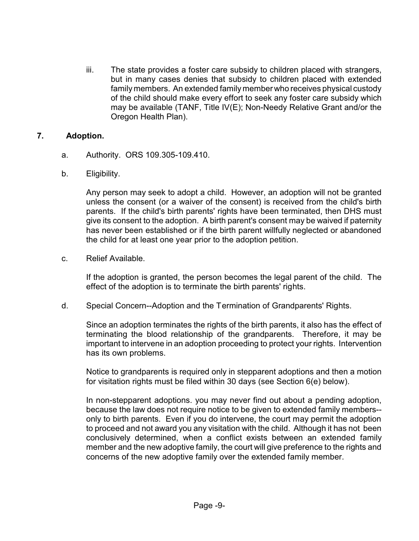iii. The state provides a foster care subsidy to children placed with strangers, but in many cases denies that subsidy to children placed with extended family members. An extended family member who receives physical custody of the child should make every effort to seek any foster care subsidy which may be available (TANF, Title IV(E); Non-Needy Relative Grant and/or the Oregon Health Plan).

#### **7. Adoption.**

- a. Authority. ORS 109.305-109.410.
- b. Eligibility.

Any person may seek to adopt a child. However, an adoption will not be granted unless the consent (or a waiver of the consent) is received from the child's birth parents. If the child's birth parents' rights have been terminated, then DHS must give its consent to the adoption. A birth parent's consent may be waived if paternity has never been established or if the birth parent willfully neglected or abandoned the child for at least one year prior to the adoption petition.

c. Relief Available.

If the adoption is granted, the person becomes the legal parent of the child. The effect of the adoption is to terminate the birth parents' rights.

d. Special Concern--Adoption and the Termination of Grandparents' Rights.

Since an adoption terminates the rights of the birth parents, it also has the effect of terminating the blood relationship of the grandparents. Therefore, it may be important to intervene in an adoption proceeding to protect your rights. Intervention has its own problems.

Notice to grandparents is required only in stepparent adoptions and then a motion for visitation rights must be filed within 30 days (see Section 6(e) below).

In non-stepparent adoptions. you may never find out about a pending adoption, because the law does not require notice to be given to extended family members- only to birth parents. Even if you do intervene, the court may permit the adoption to proceed and not award you any visitation with the child. Although it has not been conclusively determined, when a conflict exists between an extended family member and the new adoptive family, the court will give preference to the rights and concerns of the new adoptive family over the extended family member.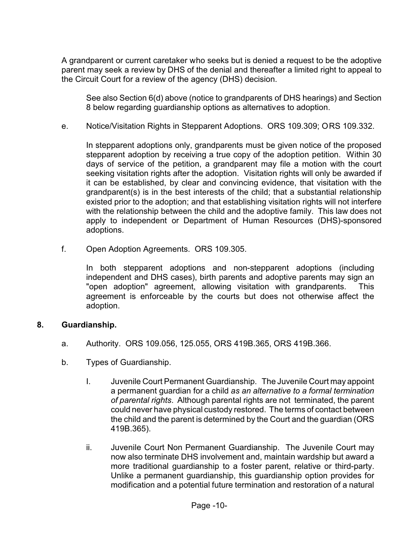A grandparent or current caretaker who seeks but is denied a request to be the adoptive parent may seek a review by DHS of the denial and thereafter a limited right to appeal to the Circuit Court for a review of the agency (DHS) decision.

See also Section 6(d) above (notice to grandparents of DHS hearings) and Section 8 below regarding guardianship options as alternatives to adoption.

e. Notice/Visitation Rights in Stepparent Adoptions. ORS 109.309; ORS 109.332.

In stepparent adoptions only, grandparents must be given notice of the proposed stepparent adoption by receiving a true copy of the adoption petition. Within 30 days of service of the petition, a grandparent may file a motion with the court seeking visitation rights after the adoption. Visitation rights will only be awarded if it can be established, by clear and convincing evidence, that visitation with the grandparent(s) is in the best interests of the child; that a substantial relationship existed prior to the adoption; and that establishing visitation rights will not interfere with the relationship between the child and the adoptive family. This law does not apply to independent or Department of Human Resources (DHS)-sponsored adoptions.

f. Open Adoption Agreements. ORS 109.305.

In both stepparent adoptions and non-stepparent adoptions (including independent and DHS cases), birth parents and adoptive parents may sign an "open adoption" agreement, allowing visitation with grandparents. This agreement is enforceable by the courts but does not otherwise affect the adoption.

#### **8. Guardianship.**

- a. Authority. ORS 109.056, 125.055, ORS 419B.365, ORS 419B.366.
- b. Types of Guardianship.
	- I. Juvenile Court Permanent Guardianship. The Juvenile Court may appoint a permanent guardian for a child *as an alternative to a formal termination of parental rights*. Although parental rights are not terminated, the parent could never have physical custody restored. The terms of contact between the child and the parent is determined by the Court and the guardian (ORS 419B.365).
	- ii. Juvenile Court Non Permanent Guardianship. The Juvenile Court may now also terminate DHS involvement and, maintain wardship but award a more traditional guardianship to a foster parent, relative or third-party. Unlike a permanent guardianship, this guardianship option provides for modification and a potential future termination and restoration of a natural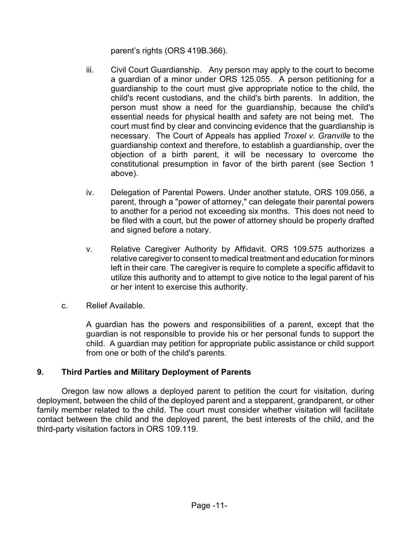parent's rights (ORS 419B.366).

- iii. Civil Court Guardianship. Any person may apply to the court to become a guardian of a minor under ORS 125.055. A person petitioning for a guardianship to the court must give appropriate notice to the child, the child's recent custodians, and the child's birth parents. In addition, the person must show a need for the guardianship, because the child's essential needs for physical health and safety are not being met. The court must find by clear and convincing evidence that the guardianship is necessary. The Court of Appeals has applied *Troxel v. Granville* to the guardianship context and therefore, to establish a guardianship, over the objection of a birth parent, it will be necessary to overcome the constitutional presumption in favor of the birth parent (see Section 1 above).
- iv. Delegation of Parental Powers. Under another statute, ORS 109.056, a parent, through a "power of attorney," can delegate their parental powers to another for a period not exceeding six months. This does not need to be filed with a court, but the power of attorney should be properly drafted and signed before a notary.
- v. Relative Caregiver Authority by Affidavit. ORS 109.575 authorizes a relative caregiver to consent to medical treatment and education for minors left in their care. The caregiver is require to complete a specific affidavit to utilize this authority and to attempt to give notice to the legal parent of his or her intent to exercise this authority.
- c. Relief Available.

A guardian has the powers and responsibilities of a parent, except that the guardian is not responsible to provide his or her personal funds to support the child. A guardian may petition for appropriate public assistance or child support from one or both of the child's parents.

## **9. Third Parties and Military Deployment of Parents**

Oregon law now allows a deployed parent to petition the court for visitation, during deployment, between the child of the deployed parent and a stepparent, grandparent, or other family member related to the child. The court must consider whether visitation will facilitate contact between the child and the deployed parent, the best interests of the child, and the third-party visitation factors in ORS 109.119.